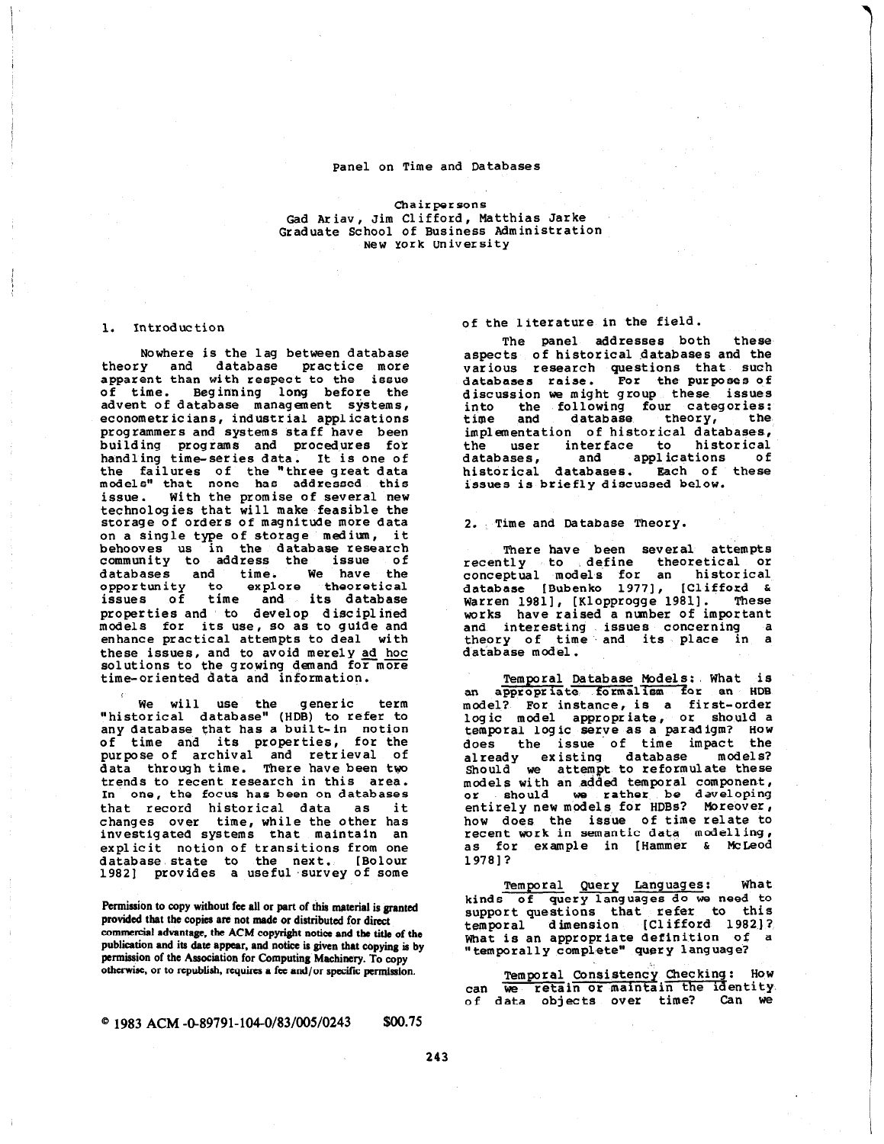### Panel on Time and Databases

### Chairpersons Gad Ariav, Jim Clifford, Matthias Jarke Graduate School of Business Administration New York University

## 1. introduction

Nowhere is the lag between database theory and database practice more apparent than with respect to the issue of time. Beginning long before the advent of database management systems, econometr ic ians, industrial applications programmers and systems staff have been building programs and procedures for handling time-series data. It is one of the failures of the "three great data models" that none has addressed this issue. With the promise of several new technologies that will make feasible the storage of orders of magnitude more data on a single type of storage medium, it behooves us in the database-resear community to address the issue of databases and time. We have the<br>opportunity to explore theoretical opportunity to issues of time and its database properties and to develop d isc ipl ined models for its use, so as to guide and enhance practical attempts to deal with these issues, and to avoid merely ad hoc solutions to the growing demand for more time-oriented data and information.

We will use the generic term "historical database" (HDB) to refer to any database that has a built- in notion of time and its properties, for the purpose of archival and retrieval of data through time. There have been tyo trends to recent research in this area. In one, the focus has been on databases that record historical data as it changes over time, while the other has investigated systems that maintain an explicit notion of transitions from one database state to the next. [Bolou 1982] provides a useful survey of some

Permission to copy without fee all or part of this material is granted provided that the copies are not made or distributed for direct commercial advantage, the ACM copyright notice and the title of the publication and its date appear, and notice is given that copying is by permission of the Association for Computing Machinery. To copy otherwise, or to republish, requires a fee and/or specific permission.

# $^{\circ}$  1983 ACM -0-89791-104-0/83/005/0243 \$00.75

## of the literature in the field.

The panel addresses both these aspects of historical databases and the various research questions that such databases raise. For the purposes of discussion we might group these issues into the following four categories:<br>time and database theory, the theory, implementation of historical databases, the user interface to historical<br>databases, and applications of applications of historical databases. Bach of these issues is briefly discussed below.

2. Time and Database Theory.

There have been several attempts recently to define theoretical or<br>conceptual models for an historical conceptual models for an historical<br>database [Bubenko 1977], [Clifford & database [Bubenko 1977], Warren 1981], [Klopprogge 1981]. These works have raised a nunber of important and interesting issues concerning a theory of time and its place in a database model

Temporal Database Models: What is an appropriate formalism for an HDB model? For instance, is a first-order logic model appropriate, or should a temporal logic serve as a paradigm? How does the issue of time impact the already existing database models? Should we attempt to reformulate thes models with an added temporal component, or should we rather be develop entirely new models for HDBs? Moreove how does the issue of time relate to recent work in semantic data model1 ing , as for example in [Hammer & McLeod 19781?

Temporal Query Languages: What kinds of query languages do we need to support questions that refer to this temporal dimension [Clifford 1982]? What is an appropriate definition of "temporally complete" query language?

Temporal Consistency Checking: How can we retain or maintain the identity.<br>of data objects over time? Can we

243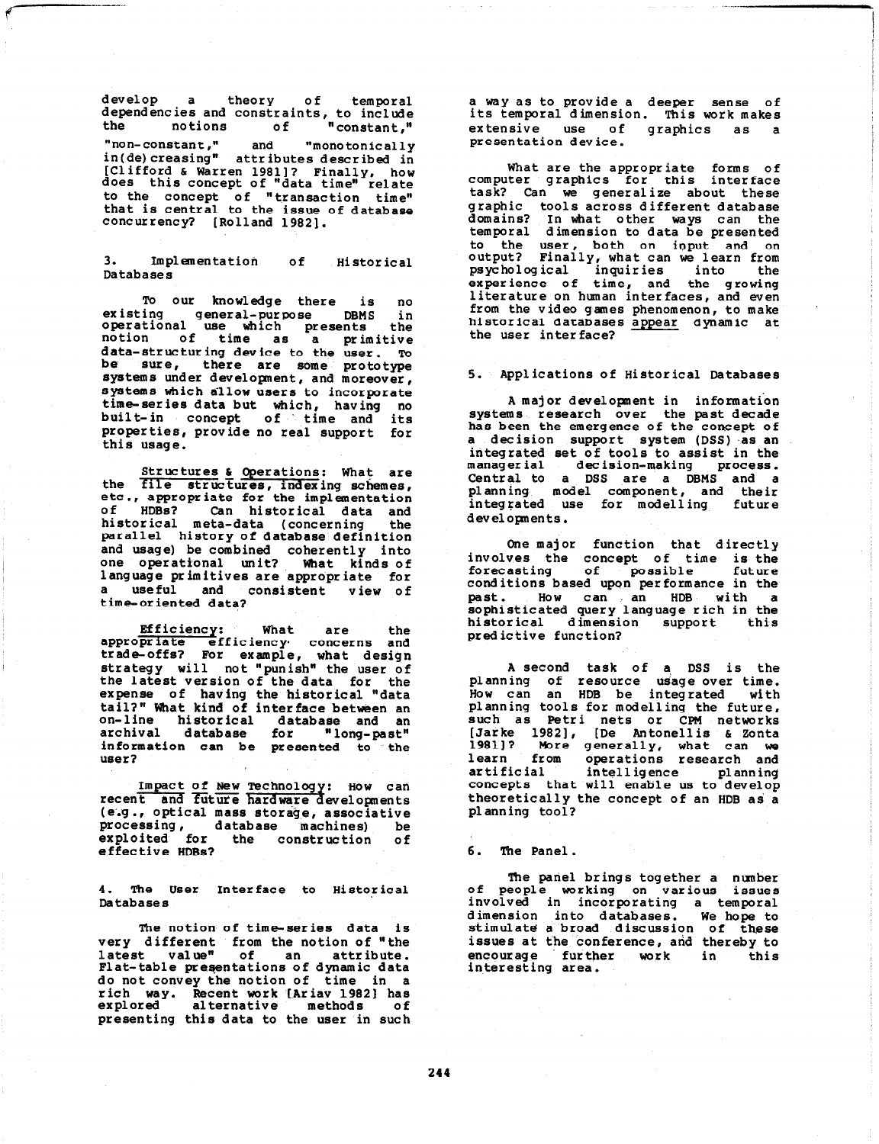develop a theory of tempor dependencies and constraints, to includ the notions of "constant." "non-constant," and in( de) creasing" attributes described in "monotonically [Clifford & Warren 1981]? Finally, how does this concept of "data time" rela to the concept of "transaction time<br>that is central to the issue of databas concurrency? [Rolland 19821.

3. Implementation of Databases Historical

To our knowledge there is no existing general-purpose DBMS ' operational use which presents the notion of time as a primit data-structuring device to the user. TO be sure, there are some prototy<br>systems under development, and moreove systems which allow users to incorporate time-series data but which, having no built-in concept of time and it properties, provide no real support for this usage.

Structures & Operations: What are the file structures, indexing schemes etc., appropriate for the implementation of HDBs? Can historical data and historical meta-data (concerning the parallel history of database definition and usage) be combined coherently int one operational unit? What kinds of language primitives are appropriate for a useful and consistent view of time-oriented data?

Efficiency: are the concerns and What trade-offs? For example, what desig strategy will not "punish" the user of the latest version of the data for the expense of having the historical "dat tail?" What kind of interface between an on-line historical database and an archival database for "long-pa information can be presented to the user?

Impact of New Technology: How can<br>recent and future hardware developments ( e.4 . , optical mass storage, associative processing, database machines) be exploited for the construction of effective HDBs?

4. The User Interface to Historical Databases

The notion of time-series data is very different from the notion of "th latest value" of an attrib Flat-table presentations of dynamic data do not convey the notion of time in a rich way. Recent work [Ariav 19821 has explored alternative methods of presenting this data to the user in such a way as to provide a deeper sense of its temporal dimension. This work makes extensive use of graphics as a presentation device.

What are the appropriate forms of computer graphics for this inter face task? Can we generalize about these graphic tools across different databa domains? In what other ways can the temporal dimension to data be presente to the user, both on input- and on output? Finally, what can we learn from psychological inquiries into the experience of time, and the growin literature on human interfaces, and even from the video games phenomenon, to make historical databases appear dynamic at the user interface?

5. Applications of Historical Databases

A major development in information systems research over the past decad has been the emergence of the concept of a decision support system (DSS) as an integrated set of tools to assist in the manager ial decision-making process. Central to a DSS are a DBMS and a planning model component, and their integrated use for modelling futur developments.

One major function that directly involves the concept of time is the forecasting of possible futur conditions based upon performance in the past. HOW can an HDB with a sophisticated query language rich in the historical dimension support thi predictive function?

A second task of a, DSS is the planning of resource usage over time. How can an HDB be integrated with planning tools for modelling the futur such as Petri nets or CPM networ [Jarke 19821, [De Antonellis & Zonta 1981]? Wore generally, what can we learn from operations research and artificial intelligence planning concepts that will enable us to develop theoretically the concept of an HDB as a planning tool?

6. The Panel.

The panel brings together a numbe of people working on various issue involved in incorporating a tempor dimension into databases. We hope to stimulate a broad discussion of these issues at the conference, and thereby to<br>encourage further work in this encourage further work in thi interesting area.